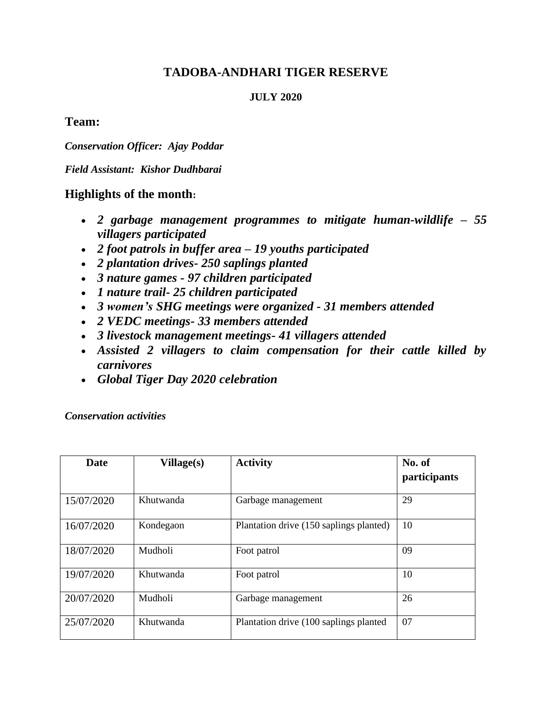# **TADOBA-ANDHARI TIGER RESERVE**

#### **JULY 2020**

## **Team:**

*Conservation Officer: Ajay Poddar*

*Field Assistant: Kishor Dudhbarai*

## **Highlights of the month:**

- *2 garbage management programmes to mitigate human-wildlife – 55 villagers participated*
- *2 foot patrols in buffer area – 19 youths participated*
- *2 plantation drives- 250 saplings planted*
- *3 nature games - 97 children participated*
- *1 nature trail- 25 children participated*
- *3 women's SHG meetings were organized - 31 members attended*
- *2 VEDC meetings- 33 members attended*
- *3 livestock management meetings- 41 villagers attended*
- *Assisted 2 villagers to claim compensation for their cattle killed by carnivores*
- *Global Tiger Day 2020 celebration*

*Conservation activities*

| <b>Date</b> | Village(s) | <b>Activity</b>                         | No. of<br>participants |
|-------------|------------|-----------------------------------------|------------------------|
| 15/07/2020  | Khutwanda  | Garbage management                      | 29                     |
| 16/07/2020  | Kondegaon  | Plantation drive (150 saplings planted) | 10                     |
| 18/07/2020  | Mudholi    | Foot patrol                             | 09                     |
| 19/07/2020  | Khutwanda  | Foot patrol                             | 10                     |
| 20/07/2020  | Mudholi    | Garbage management                      | 26                     |
| 25/07/2020  | Khutwanda  | Plantation drive (100 saplings planted) | 07                     |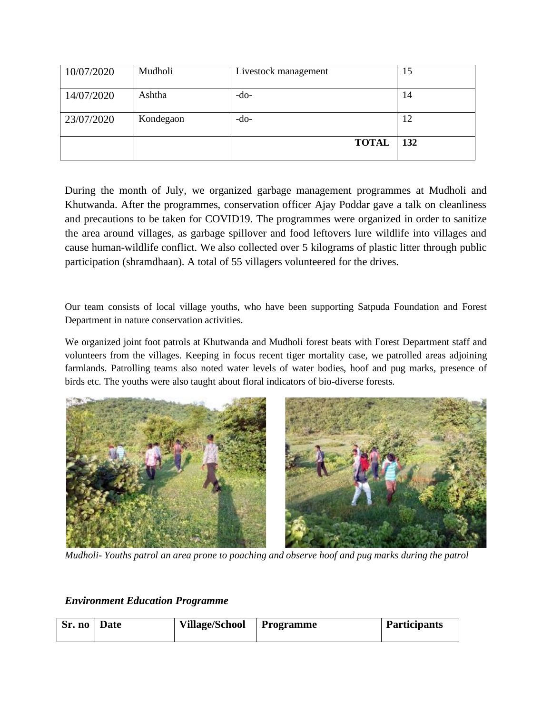| 10/07/2020 | Mudholi   | Livestock management | 15  |
|------------|-----------|----------------------|-----|
| 14/07/2020 | Ashtha    | $-do-$               | 14  |
| 23/07/2020 | Kondegaon | $-do-$               | 12  |
|            |           | <b>TOTAL</b>         | 132 |

During the month of July, we organized garbage management programmes at Mudholi and Khutwanda. After the programmes, conservation officer Ajay Poddar gave a talk on cleanliness and precautions to be taken for COVID19. The programmes were organized in order to sanitize the area around villages, as garbage spillover and food leftovers lure wildlife into villages and cause human-wildlife conflict. We also collected over 5 kilograms of plastic litter through public participation (shramdhaan). A total of 55 villagers volunteered for the drives.

Our team consists of local village youths, who have been supporting Satpuda Foundation and Forest Department in nature conservation activities.

We organized joint foot patrols at Khutwanda and Mudholi forest beats with Forest Department staff and volunteers from the villages. Keeping in focus recent tiger mortality case, we patrolled areas adjoining farmlands. Patrolling teams also noted water levels of water bodies, hoof and pug marks, presence of birds etc. The youths were also taught about floral indicators of bio-diverse forests.



*Mudholi- Youths patrol an area prone to poaching and observe hoof and pug marks during the patrol*

#### *Environment Education Programme*

| Sr. no   Date |  | Village/School   Programme |  | <b>Participants</b> |
|---------------|--|----------------------------|--|---------------------|
|---------------|--|----------------------------|--|---------------------|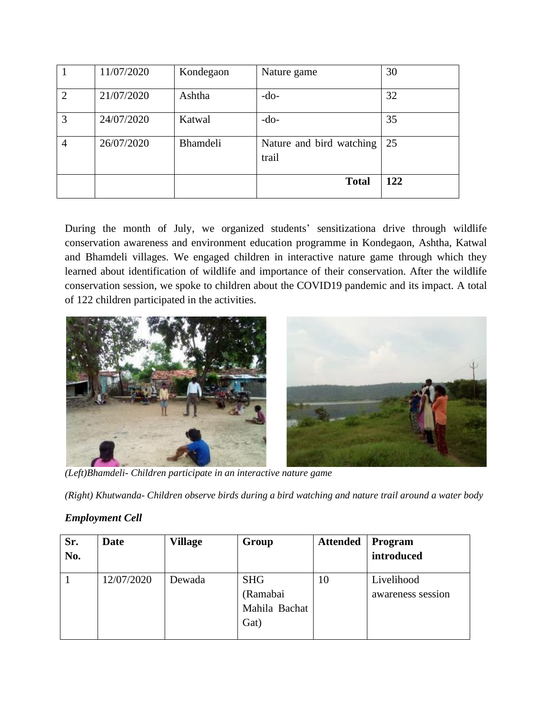|                | 11/07/2020 | Kondegaon       | Nature game                       | 30  |
|----------------|------------|-----------------|-----------------------------------|-----|
| $\overline{2}$ | 21/07/2020 | Ashtha          | $-do-$                            | 32  |
| 3              | 24/07/2020 | Katwal          | $-do-$                            | 35  |
| 4              | 26/07/2020 | <b>Bhamdeli</b> | Nature and bird watching<br>trail | 25  |
|                |            |                 | <b>Total</b>                      | 122 |

During the month of July, we organized students' sensitizationa drive through wildlife conservation awareness and environment education programme in Kondegaon, Ashtha, Katwal and Bhamdeli villages. We engaged children in interactive nature game through which they learned about identification of wildlife and importance of their conservation. After the wildlife conservation session, we spoke to children about the COVID19 pandemic and its impact. A total of 122 children participated in the activities.



*(Left)Bhamdeli- Children participate in an interactive nature game* 

*(Right) Khutwanda- Children observe birds during a bird watching and nature trail around a water body* 

### *Employment Cell*

| Sr.<br>No. | Date       | <b>Village</b> | Group         | <b>Attended</b> | Program<br>introduced |
|------------|------------|----------------|---------------|-----------------|-----------------------|
|            |            |                |               |                 |                       |
|            | 12/07/2020 | Dewada         | <b>SHG</b>    | 10              | Livelihood            |
|            |            |                | (Ramabai      |                 | awareness session     |
|            |            |                | Mahila Bachat |                 |                       |
|            |            |                | Gat)          |                 |                       |
|            |            |                |               |                 |                       |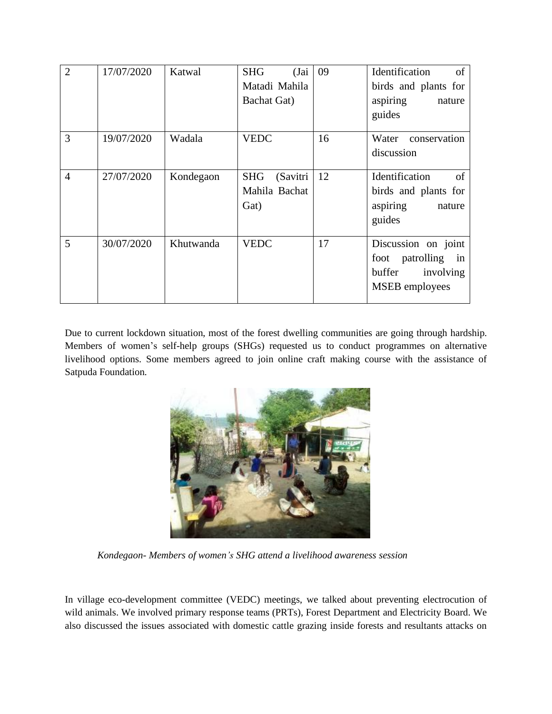| $\overline{2}$ | 17/07/2020 | Katwal    | (Jai<br><b>SHG</b><br>Matadi Mahila<br><b>Bachat Gat)</b> | 09 | of<br>Identification<br>birds and plants for<br>aspiring<br>nature<br>guides              |
|----------------|------------|-----------|-----------------------------------------------------------|----|-------------------------------------------------------------------------------------------|
| 3              | 19/07/2020 | Wadala    | <b>VEDC</b>                                               | 16 | Water<br>conservation<br>discussion                                                       |
| $\overline{4}$ | 27/07/2020 | Kondegaon | <b>SHG</b><br>(Savitri<br>Mahila Bachat<br>Gat)           | 12 | of<br>Identification<br>birds and plants for<br>aspiring<br>nature<br>guides              |
| 5              | 30/07/2020 | Khutwanda | <b>VEDC</b>                                               | 17 | Discussion on joint<br>foot patrolling in<br>buffer<br>involving<br><b>MSEB</b> employees |

Due to current lockdown situation, most of the forest dwelling communities are going through hardship. Members of women's self-help groups (SHGs) requested us to conduct programmes on alternative livelihood options. Some members agreed to join online craft making course with the assistance of Satpuda Foundation.



 *Kondegaon- Members of women's SHG attend a livelihood awareness session*

In village eco-development committee (VEDC) meetings, we talked about preventing electrocution of wild animals. We involved primary response teams (PRTs), Forest Department and Electricity Board. We also discussed the issues associated with domestic cattle grazing inside forests and resultants attacks on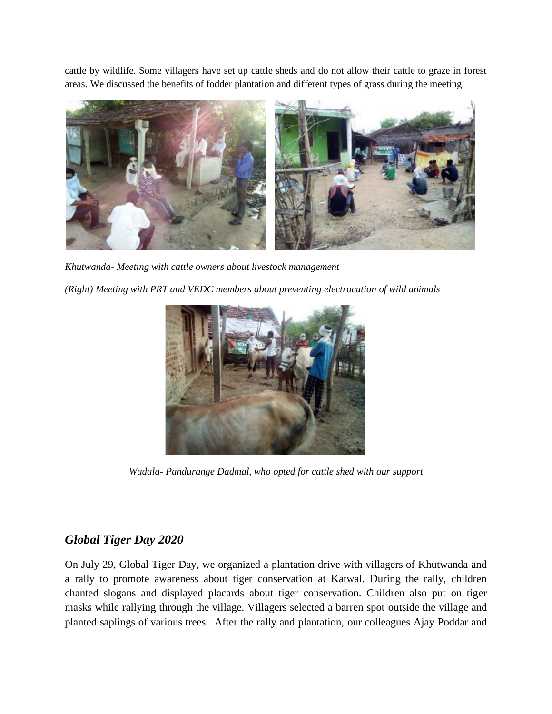cattle by wildlife. Some villagers have set up cattle sheds and do not allow their cattle to graze in forest areas. We discussed the benefits of fodder plantation and different types of grass during the meeting.



*Khutwanda- Meeting with cattle owners about livestock management*

*(Right) Meeting with PRT and VEDC members about preventing electrocution of wild animals*



*Wadala- Pandurange Dadmal, who opted for cattle shed with our support*

# *Global Tiger Day 2020*

On July 29, Global Tiger Day, we organized a plantation drive with villagers of Khutwanda and a rally to promote awareness about tiger conservation at Katwal. During the rally, children chanted slogans and displayed placards about tiger conservation. Children also put on tiger masks while rallying through the village. Villagers selected a barren spot outside the village and planted saplings of various trees. After the rally and plantation, our colleagues Ajay Poddar and